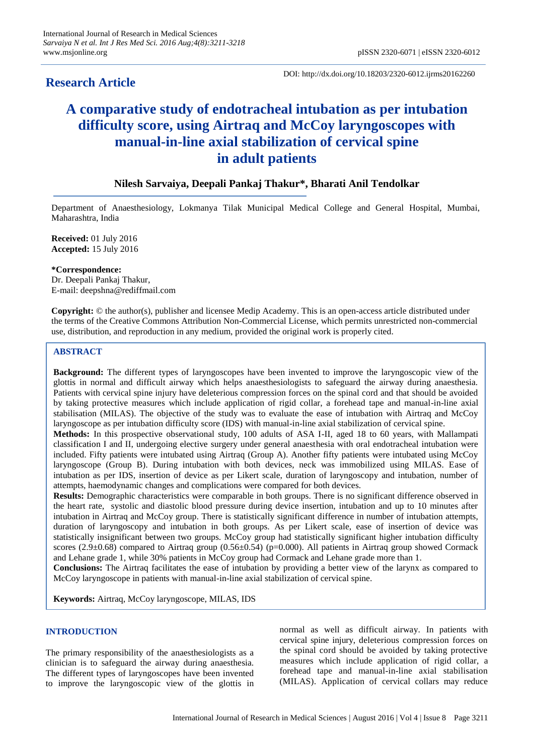# **Research Article**

DOI: http://dx.doi.org/10.18203/2320-6012.ijrms20162260

# **A comparative study of endotracheal intubation as per intubation difficulty score, using Airtraq and McCoy laryngoscopes with manual-in-line axial stabilization of cervical spine in adult patients**

# **Nilesh Sarvaiya, Deepali Pankaj Thakur\*, Bharati Anil Tendolkar**

Department of Anaesthesiology, Lokmanya Tilak Municipal Medical College and General Hospital, Mumbai, Maharashtra, India

**Received:** 01 July 2016 **Accepted:** 15 July 2016

#### **\*Correspondence:**

Dr. Deepali Pankaj Thakur, E-mail: deepshna@rediffmail.com

**Copyright:** © the author(s), publisher and licensee Medip Academy. This is an open-access article distributed under the terms of the Creative Commons Attribution Non-Commercial License, which permits unrestricted non-commercial use, distribution, and reproduction in any medium, provided the original work is properly cited.

#### **ABSTRACT**

**Background:** The different types of laryngoscopes have been invented to improve the laryngoscopic view of the glottis in normal and difficult airway which helps anaesthesiologists to safeguard the airway during anaesthesia. Patients with cervical spine injury have deleterious compression forces on the spinal cord and that should be avoided by taking protective measures which include application of rigid collar, a forehead tape and manual-in-line axial stabilisation (MILAS). The objective of the study was to evaluate the ease of intubation with Airtraq and McCoy laryngoscope as per intubation difficulty score (IDS) with manual-in-line axial stabilization of cervical spine.

**Methods:** In this prospective observational study, 100 adults of ASA I-II, aged 18 to 60 years, with Mallampati classification I and II, undergoing elective surgery under general anaesthesia with oral endotracheal intubation were included. Fifty patients were intubated using Airtraq (Group A). Another fifty patients were intubated using McCoy laryngoscope (Group B). During intubation with both devices, neck was immobilized using MILAS. Ease of intubation as per IDS, insertion of device as per Likert scale, duration of laryngoscopy and intubation, number of attempts, haemodynamic changes and complications were compared for both devices.

**Results:** Demographic characteristics were comparable in both groups. There is no significant difference observed in the heart rate, systolic and diastolic blood pressure during device insertion, intubation and up to 10 minutes after intubation in Airtraq and McCoy group. There is statistically significant difference in number of intubation attempts, duration of laryngoscopy and intubation in both groups. As per Likert scale, ease of insertion of device was statistically insignificant between two groups. McCoy group had statistically significant higher intubation difficulty scores (2.9 $\pm$ 0.68) compared to Airtraq group (0.56 $\pm$ 0.54) (p=0.000). All patients in Airtraq group showed Cormack and Lehane grade 1, while 30% patients in McCoy group had Cormack and Lehane grade more than 1.

**Conclusions:** The Airtraq facilitates the ease of intubation by providing a better view of the larynx as compared to McCoy laryngoscope in patients with manual-in-line axial stabilization of cervical spine.

**Keywords:** Airtraq, McCoy laryngoscope, MILAS, IDS

#### **INTRODUCTION**

The primary responsibility of the anaesthesiologists as a clinician is to safeguard the airway during anaesthesia. The different types of laryngoscopes have been invented to improve the laryngoscopic view of the glottis in normal as well as difficult airway. In patients with cervical spine injury, deleterious compression forces on the spinal cord should be avoided by taking protective measures which include application of rigid collar, a forehead tape and manual-in-line axial stabilisation (MILAS). Application of cervical collars may reduce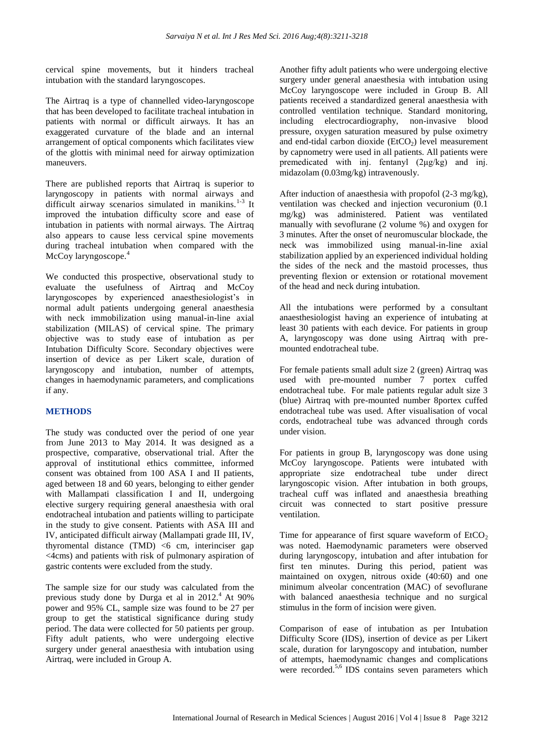cervical spine movements, but it hinders tracheal intubation with the standard laryngoscopes.

The Airtraq is a type of channelled video-laryngoscope that has been developed to facilitate tracheal intubation in patients with normal or difficult airways. It has an exaggerated curvature of the blade and an internal arrangement of optical components which facilitates view of the glottis with minimal need for airway optimization maneuvers.

There are published reports that Airtraq is superior to laryngoscopy in patients with normal airways and difficult airway scenarios simulated in manikins.<sup>1-3</sup> It improved the intubation difficulty score and ease of intubation in patients with normal airways. The Airtraq also appears to cause less cervical spine movements during tracheal intubation when compared with the McCoy laryngoscope.<sup>4</sup>

We conducted this prospective, observational study to evaluate the usefulness of Airtraq and McCoy laryngoscopes by experienced anaesthesiologist's in normal adult patients undergoing general anaesthesia with neck immobilization using manual-in-line axial stabilization (MILAS) of cervical spine. The primary objective was to study ease of intubation as per Intubation Difficulty Score. Secondary objectives were insertion of device as per Likert scale, duration of laryngoscopy and intubation, number of attempts, changes in haemodynamic parameters, and complications if any.

### **METHODS**

The study was conducted over the period of one year from June 2013 to May 2014. It was designed as a prospective, comparative, observational trial. After the approval of institutional ethics committee, informed consent was obtained from 100 ASA I and II patients, aged between 18 and 60 years, belonging to either gender with Mallampati classification I and II, undergoing elective surgery requiring general anaesthesia with oral endotracheal intubation and patients willing to participate in the study to give consent. Patients with ASA III and IV, anticipated difficult airway (Mallampati grade III, IV, thyromental distance  $(TMD)$  <6 cm, interinciser gap <4cms) and patients with risk of pulmonary aspiration of gastric contents were excluded from the study.

The sample size for our study was calculated from the previous study done by Durga et al in  $2012<sup>4</sup>$  At 90% power and 95% CL, sample size was found to be 27 per group to get the statistical significance during study period. The data were collected for 50 patients per group. Fifty adult patients, who were undergoing elective surgery under general anaesthesia with intubation using Airtraq, were included in Group A.

Another fifty adult patients who were undergoing elective surgery under general anaesthesia with intubation using McCoy laryngoscope were included in Group B. All patients received a standardized general anaesthesia with controlled ventilation technique. Standard monitoring, including electrocardiography, non-invasive blood pressure, oxygen saturation measured by pulse oximetry and end-tidal carbon dioxide  $(EtCO<sub>2</sub>)$  level measurement by capnometry were used in all patients. All patients were premedicated with inj. fentanyl (2μg/kg) and inj. midazolam (0.03mg/kg) intravenously.

After induction of anaesthesia with propofol (2-3 mg/kg), ventilation was checked and injection vecuronium (0.1 mg/kg) was administered. Patient was ventilated manually with sevoflurane (2 volume %) and oxygen for 3 minutes. After the onset of neuromuscular blockade, the neck was immobilized using manual-in-line axial stabilization applied by an experienced individual holding the sides of the neck and the mastoid processes, thus preventing flexion or extension or rotational movement of the head and neck during intubation.

All the intubations were performed by a consultant anaesthesiologist having an experience of intubating at least 30 patients with each device. For patients in group A, laryngoscopy was done using Airtraq with premounted endotracheal tube.

For female patients small adult size 2 (green) Airtraq was used with pre-mounted number 7 portex cuffed endotracheal tube. For male patients regular adult size 3 (blue) Airtraq with pre-mounted number 8portex cuffed endotracheal tube was used. After visualisation of vocal cords, endotracheal tube was advanced through cords under vision.

For patients in group B, laryngoscopy was done using McCoy laryngoscope. Patients were intubated with appropriate size endotracheal tube under direct laryngoscopic vision. After intubation in both groups, tracheal cuff was inflated and anaesthesia breathing circuit was connected to start positive pressure ventilation.

Time for appearance of first square waveform of  $ECO<sub>2</sub>$ was noted. Haemodynamic parameters were observed during laryngoscopy, intubation and after intubation for first ten minutes. During this period, patient was maintained on oxygen, nitrous oxide (40:60) and one minimum alveolar concentration (MAC) of sevoflurane with balanced anaesthesia technique and no surgical stimulus in the form of incision were given.

Comparison of ease of intubation as per Intubation Difficulty Score (IDS), insertion of device as per Likert scale, duration for laryngoscopy and intubation, number of attempts, haemodynamic changes and complications were recorded.<sup>5,6</sup> IDS contains seven parameters which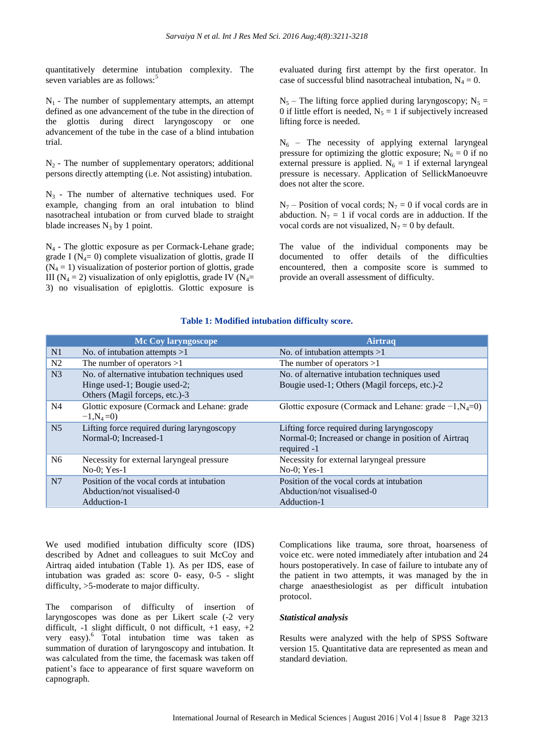quantitatively determine intubation complexity. The seven variables are as follows:<sup>5</sup>

 $N_1$  - The number of supplementary attempts, an attempt defined as one advancement of the tube in the direction of the glottis during direct laryngoscopy or one advancement of the tube in the case of a blind intubation trial.

 $N<sub>2</sub>$  - The number of supplementary operators; additional persons directly attempting (i.e. Not assisting) intubation.

 $N_3$  - The number of alternative techniques used. For example, changing from an oral intubation to blind nasotracheal intubation or from curved blade to straight blade increases  $N_3$  by 1 point.

N<sup>4</sup> - The glottic exposure as per Cormack-Lehane grade; grade I ( $N_4$ = 0) complete visualization of glottis, grade II  $(N_4 = 1)$  visualization of posterior portion of glottis, grade III ( $N_4 = 2$ ) visualization of only epiglottis, grade IV ( $N_4$ = 3) no visualisation of epiglottis. Glottic exposure is evaluated during first attempt by the first operator. In case of successful blind nasotracheal intubation,  $N_4 = 0$ .

 $N_5$  – The lifting force applied during laryngoscopy; N<sub>5</sub> = 0 if little effort is needed,  $N_5 = 1$  if subjectively increased lifting force is needed.

 $N<sub>6</sub>$  – The necessity of applying external laryngeal pressure for optimizing the glottic exposure;  $N_6 = 0$  if no external pressure is applied.  $N_6 = 1$  if external laryngeal pressure is necessary. Application of SellickManoeuvre does not alter the score.

 $N_7$  – Position of vocal cords;  $N_7 = 0$  if vocal cords are in abduction.  $N_7 = 1$  if vocal cords are in adduction. If the vocal cords are not visualized,  $N_7 = 0$  by default.

The value of the individual components may be documented to offer details of the difficulties encountered, then a composite score is summed to provide an overall assessment of difficulty.

|                | Mc Coy laryngoscope                           | Airtraq                                                   |
|----------------|-----------------------------------------------|-----------------------------------------------------------|
| N1             | No. of intubation attempts $>1$               | No. of intubation attempts $>1$                           |
| N <sub>2</sub> | The number of operators $>1$                  | The number of operators $>1$                              |
| N <sub>3</sub> | No. of alternative intubation techniques used | No. of alternative intubation techniques used             |
|                | Hinge used-1; Bougie used-2;                  | Bougie used-1; Others (Magil forceps, etc.)-2             |
|                | Others (Magil forceps, etc.)-3                |                                                           |
| N <sub>4</sub> | Glottic exposure (Cormack and Lehane: grade   | Glottic exposure (Cormack and Lehane: grade $-1, N_4=0$ ) |
|                | $-1, N_4 = 0$                                 |                                                           |
| N <sub>5</sub> | Lifting force required during laryngoscopy    | Lifting force required during laryngoscopy                |
|                | Normal-0; Increased-1                         | Normal-0; Increased or change in position of Airtraq      |
|                |                                               | required -1                                               |
| N <sub>6</sub> | Necessity for external laryngeal pressure     | Necessity for external laryngeal pressure                 |
|                | $No-0$ ; Yes-1                                | $No-0$ ; Yes-1                                            |
| N <sub>7</sub> | Position of the vocal cords at intubation     | Position of the vocal cords at intubation                 |
|                | Abduction/not visualised-0                    | Abduction/not visualised-0                                |
|                | Adduction-1                                   | Adduction-1                                               |

#### **Table 1: Modified intubation difficulty score.**

We used modified intubation difficulty score (IDS) described by Adnet and colleagues to suit McCoy and Airtraq aided intubation (Table 1). As per IDS, ease of intubation was graded as: score 0- easy, 0-5 - slight difficulty, >5-moderate to major difficulty.

The comparison of difficulty of insertion of laryngoscopes was done as per Likert scale (-2 very difficult,  $-1$  slight difficult,  $0$  not difficult,  $+1$  easy,  $+2$ very easy).<sup>6</sup> Total intubation time was taken as summation of duration of laryngoscopy and intubation. It was calculated from the time, the facemask was taken off patient's face to appearance of first square waveform on capnograph.

Complications like trauma, sore throat, hoarseness of voice etc. were noted immediately after intubation and 24 hours postoperatively. In case of failure to intubate any of the patient in two attempts, it was managed by the in charge anaesthesiologist as per difficult intubation protocol.

#### *Statistical analysis*

Results were analyzed with the help of SPSS Software version 15. Quantitative data are represented as mean and standard deviation.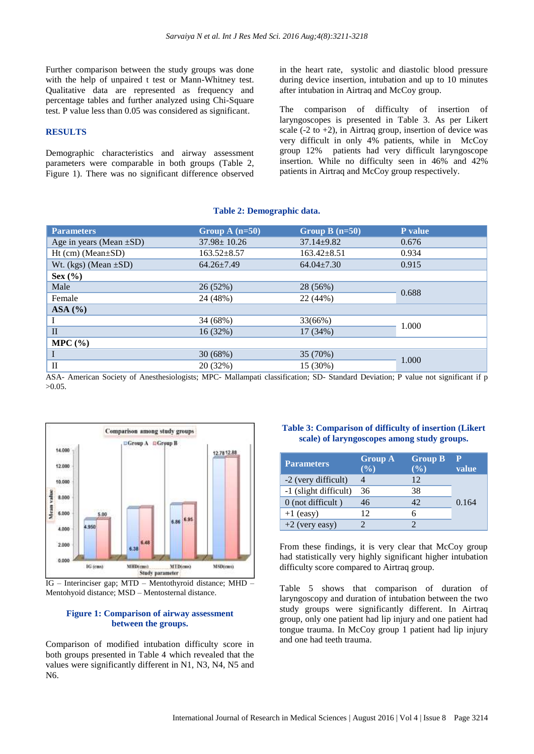Further comparison between the study groups was done with the help of unpaired t test or Mann-Whitney test. Qualitative data are represented as frequency and percentage tables and further analyzed using Chi-Square test. P value less than 0.05 was considered as significant.

#### **RESULTS**

Demographic characteristics and airway assessment parameters were comparable in both groups (Table 2, Figure 1). There was no significant difference observed in the heart rate, systolic and diastolic blood pressure during device insertion, intubation and up to 10 minutes after intubation in Airtraq and McCoy group.

The comparison of difficulty of insertion of laryngoscopes is presented in Table 3. As per Likert scale  $(-2 \text{ to } +2)$ , in Airtraq group, insertion of device was very difficult in only 4% patients, while in McCoy group 12% patients had very difficult laryngoscope insertion. While no difficulty seen in 46% and 42% patients in Airtraq and McCoy group respectively.

#### **Table 2: Demographic data.**

| <b>Parameters</b>                                                                                                                                                                                                  | Group A $(n=50)$  | Group $B(n=50)$   | P value |  |
|--------------------------------------------------------------------------------------------------------------------------------------------------------------------------------------------------------------------|-------------------|-------------------|---------|--|
| Age in years (Mean $\pm SD$ )                                                                                                                                                                                      | $37.98 \pm 10.26$ | $37.14 \pm 9.82$  | 0.676   |  |
| $Ht$ (cm) (Mean $\pm SD$ )                                                                                                                                                                                         | $163.52 \pm 8.57$ | $163.42 \pm 8.51$ | 0.934   |  |
| Wt. (kgs) (Mean $\pm SD$ )                                                                                                                                                                                         | $64.26 \pm 7.49$  | $64.04 \pm 7.30$  | 0.915   |  |
| Sex $(\% )$                                                                                                                                                                                                        |                   |                   |         |  |
| Male                                                                                                                                                                                                               | 26 (52%)          | 28 (56%)          | 0.688   |  |
| Female                                                                                                                                                                                                             | 24 (48%)          | 22 (44%)          |         |  |
| ASA (%)                                                                                                                                                                                                            |                   |                   |         |  |
|                                                                                                                                                                                                                    | 34 (68%)          | 33(66%)           | 1.000   |  |
| $\mathbf{I}$                                                                                                                                                                                                       | 16(32%)           | 17(34%)           |         |  |
| MPC (%)                                                                                                                                                                                                            |                   |                   |         |  |
|                                                                                                                                                                                                                    | 30(68%)           | 35 (70%)          |         |  |
| $\rm II$<br>$\mathcal{A} \cap \mathcal{A}$ , and $\mathcal{A}$ , and $\mathcal{A} \cap \mathcal{A}$ , and $\mathcal{A} \cap \mathcal{A}$ , and $\mathcal{A} \cap \mathcal{A}$ , and $\mathcal{A} \cap \mathcal{A}$ | 20 (32%)          | 15 (30%)          | 1.000   |  |

ASA- American Society of Anesthesiologists; MPC- Mallampati classification; SD- Standard Deviation; P value not significant if p >0.05.



IG – Interinciser gap; MTD – Mentothyroid distance; MHD – Mentohyoid distance; MSD – Mentosternal distance.

#### **Figure 1: Comparison of airway assessment between the groups.**

Comparison of modified intubation difficulty score in both groups presented in Table 4 which revealed that the values were significantly different in N1, N3, N4, N5 and N6.

# **Table 3: Comparison of difficulty of insertion (Likert scale) of laryngoscopes among study groups.**

| <b>Parameters</b>     | <b>Group A</b><br>(%) | <b>Group B</b><br>(%) | value |
|-----------------------|-----------------------|-----------------------|-------|
| -2 (very difficult)   |                       | 12                    |       |
| -1 (slight difficult) | 36                    | 38                    |       |
| 0 (not difficult)     | 46                    | 42                    | 0.164 |
| $+1$ (easy)           | 12                    | 6                     |       |
| $+2$ (very easy)      |                       |                       |       |

From these findings, it is very clear that McCoy group had statistically very highly significant higher intubation difficulty score compared to Airtraq group.

Table 5 shows that comparison of duration of laryngoscopy and duration of intubation between the two study groups were significantly different. In Airtraq group, only one patient had lip injury and one patient had tongue trauma. In McCoy group 1 patient had lip injury and one had teeth trauma.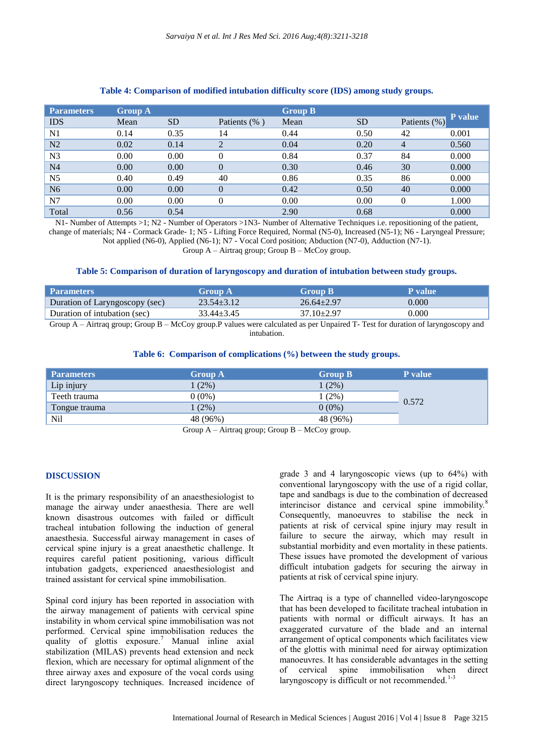| <b>Parameters</b> | <b>Group A</b> |           |                | <b>Group B</b> |           |              |         |
|-------------------|----------------|-----------|----------------|----------------|-----------|--------------|---------|
| <b>IDS</b>        | Mean           | <b>SD</b> | Patients (%)   | Mean           | <b>SD</b> | Patients (%) | P value |
| N <sub>1</sub>    | 0.14           | 0.35      | 14             | 0.44           | 0.50      | 42           | 0.001   |
| N <sub>2</sub>    | 0.02           | 0.14      | $\overline{2}$ | 0.04           | 0.20      | 4            | 0.560   |
| N <sub>3</sub>    | 0.00           | 0.00      | $\Omega$       | 0.84           | 0.37      | 84           | 0.000   |
| N <sub>4</sub>    | 0.00           | 0.00      | $\Omega$       | 0.30           | 0.46      | 30           | 0.000   |
| N <sub>5</sub>    | 0.40           | 0.49      | 40             | 0.86           | 0.35      | 86           | 0.000   |
| N <sub>6</sub>    | 0.00           | 0.00      | $\Omega$       | 0.42           | 0.50      | 40           | 0.000   |
| N7                | 0.00           | 0.00      | $\Omega$       | 0.00           | 0.00      | $\theta$     | 1.000   |
| Total             | 0.56           | 0.54      |                | 2.90           | 0.68      |              | 0.000   |

## **Table 4: Comparison of modified intubation difficulty score (IDS) among study groups.**

N1- Number of Attempts >1; N2 - Number of Operators >1N3- Number of Alternative Techniques i.e. repositioning of the patient, change of materials; N4 - Cormack Grade- 1; N5 - Lifting Force Required, Normal (N5-0), Increased (N5-1); N6 - Laryngeal Pressure; Not applied (N6-0), Applied (N6-1); N7 - Vocal Cord position; Abduction (N7-0), Adduction (N7-1).

Group A – Airtraq group; Group B – McCoy group.

#### **Table 5: Comparison of duration of laryngoscopy and duration of intubation between study groups.**

| <b>Parameters</b>              | <b>Group A</b> | <b>Group B</b>   | <b>P</b> value |
|--------------------------------|----------------|------------------|----------------|
| Duration of Laryngoscopy (sec) | $23.54 + 3.12$ | $26.64 + 2.97$   | 0.000          |
| Duration of intubation (sec)   | $33.44 + 3.45$ | $37.10 \pm 2.97$ | 0.000          |

Group A – Airtraq group; Group B – McCoy group.P values were calculated as per Unpaired T- Test for duration of laryngoscopy and intubation.

#### **Table 6: Comparison of complications (%) between the study groups.**

| <b>Parameters</b> | <b>Group A</b> | <b>Group B</b> | <b>P</b> value |
|-------------------|----------------|----------------|----------------|
| Lip injury        | $(2\%)$        | $(2\%)$        |                |
| Teeth trauma      | $0(0\%)$       | $(2\%)$        | 0.572          |
| Tongue trauma     | (2%)           | $0(0\%)$       |                |
| Nil               | 48 (96%)       | 48 (96%)       |                |

Group  $A -$ Airtraq group; Group  $B -$ McCoy group.

#### **DISCUSSION**

It is the primary responsibility of an anaesthesiologist to manage the airway under anaesthesia. There are well known disastrous outcomes with failed or difficult tracheal intubation following the induction of general anaesthesia. Successful airway management in cases of cervical spine injury is a great anaesthetic challenge. It requires careful patient positioning, various difficult intubation gadgets, experienced anaesthesiologist and trained assistant for cervical spine immobilisation.

Spinal cord injury has been reported in association with the airway management of patients with cervical spine instability in whom cervical spine immobilisation was not performed. Cervical spine immobilisation reduces the quality of glottis exposure.<sup>7</sup> Manual inline axial stabilization (MILAS) prevents head extension and neck flexion, which are necessary for optimal alignment of the three airway axes and exposure of the vocal cords using direct laryngoscopy techniques. Increased incidence of grade 3 and 4 laryngoscopic views (up to 64%) with conventional laryngoscopy with the use of a rigid collar, tape and sandbags is due to the combination of decreased interincisor distance and cervical spine immobility.<sup>8</sup> Consequently, manoeuvres to stabilise the neck in patients at risk of cervical spine injury may result in failure to secure the airway, which may result in substantial morbidity and even mortality in these patients. These issues have promoted the development of various difficult intubation gadgets for securing the airway in patients at risk of cervical spine injury.

The Airtraq is a type of channelled video-laryngoscope that has been developed to facilitate tracheal intubation in patients with normal or difficult airways. It has an exaggerated curvature of the blade and an internal arrangement of optical components which facilitates view of the glottis with minimal need for airway optimization manoeuvres. It has considerable advantages in the setting of cervical spine immobilisation when direct laryngoscopy is difficult or not recommended. $1-3$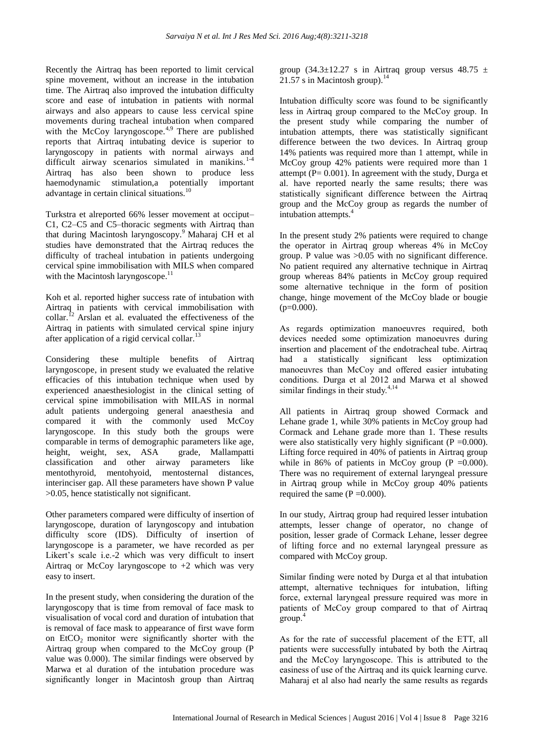Recently the Airtraq has been reported to limit cervical spine movement, without an increase in the intubation time. The Airtraq also improved the intubation difficulty score and ease of intubation in patients with normal airways and also appears to cause less cervical spine movements during tracheal intubation when compared with the McCoy laryngoscope.<sup>4,9</sup> There are published reports that Airtraq intubating device is superior to laryngoscopy in patients with normal airways and difficult airway scenarios simulated in manikins. $1-4$ Airtraq has also been shown to produce less haemodynamic stimulation,a potentially important advantage in certain clinical situations.<sup>10</sup>

Turkstra et alreported 66% lesser movement at occiput– C1, C2–C5 and C5–thoracic segments with Airtraq than that during Macintosh laryngoscopy.<sup>9</sup> Maharaj CH et al studies have demonstrated that the Airtraq reduces the difficulty of tracheal intubation in patients undergoing cervical spine immobilisation with MILS when compared with the Macintosh laryngoscope.<sup>11</sup>

Koh et al. reported higher success rate of intubation with Airtraq in patients with cervical immobilisation with collar.<sup> $12$ </sup> Arslan et al. evaluated the effectiveness of the Airtraq in patients with simulated cervical spine injury after application of a rigid cervical collar.<sup>13</sup>

Considering these multiple benefits of Airtraq laryngoscope, in present study we evaluated the relative efficacies of this intubation technique when used by experienced anaesthesiologist in the clinical setting of cervical spine immobilisation with MILAS in normal adult patients undergoing general anaesthesia and compared it with the commonly used McCoy laryngoscope. In this study both the groups were comparable in terms of demographic parameters like age, height, weight, sex, ASA grade, Mallampatti classification and other airway parameters like mentothyroid, mentohyoid, mentosternal distances, interinciser gap. All these parameters have shown P value >0.05, hence statistically not significant.

Other parameters compared were difficulty of insertion of laryngoscope, duration of laryngoscopy and intubation difficulty score (IDS). Difficulty of insertion of laryngoscope is a parameter, we have recorded as per Likert's scale i.e.-2 which was very difficult to insert Airtrag or McCoy laryngoscope to  $+2$  which was very easy to insert.

In the present study, when considering the duration of the laryngoscopy that is time from removal of face mask to visualisation of vocal cord and duration of intubation that is removal of face mask to appearance of first wave form on EtCO<sub>2</sub> monitor were significantly shorter with the Airtraq group when compared to the McCoy group (P value was 0.000). The similar findings were observed by Marwa et al duration of the intubation procedure was significantly longer in Macintosh group than Airtraq group (34.3 $\pm$ 12.27 s in Airtraq group versus 48.75  $\pm$ 21.57 s in Macintosh group). $14$ 

Intubation difficulty score was found to be significantly less in Airtraq group compared to the McCoy group. In the present study while comparing the number of intubation attempts, there was statistically significant difference between the two devices. In Airtraq group 14% patients was required more than 1 attempt, while in McCoy group 42% patients were required more than 1 attempt ( $P = 0.001$ ). In agreement with the study, Durga et al. have reported nearly the same results; there was statistically significant difference between the Airtraq group and the McCoy group as regards the number of intubation attempts. 4

In the present study 2% patients were required to change the operator in Airtraq group whereas 4% in McCoy group. P value was >0.05 with no significant difference. No patient required any alternative technique in Airtraq group whereas 84% patients in McCoy group required some alternative technique in the form of position change, hinge movement of the McCoy blade or bougie  $(p=0.000)$ .

As regards optimization manoeuvres required, both devices needed some optimization manoeuvres during insertion and placement of the endotracheal tube. Airtraq had a statistically significant less optimization manoeuvres than McCoy and offered easier intubating conditions. Durga et al 2012 and Marwa et al showed similar findings in their study. $4,14$ 

All patients in Airtraq group showed Cormack and Lehane grade 1, while 30% patients in McCoy group had Cormack and Lehane grade more than 1. These results were also statistically very highly significant ( $P = 0.000$ ). Lifting force required in 40% of patients in Airtraq group while in 86% of patients in McCoy group ( $P = 0.000$ ). There was no requirement of external laryngeal pressure in Airtraq group while in McCoy group 40% patients required the same  $(P = 0.000)$ .

In our study, Airtraq group had required lesser intubation attempts, lesser change of operator, no change of position, lesser grade of Cormack Lehane, lesser degree of lifting force and no external laryngeal pressure as compared with McCoy group.

Similar finding were noted by Durga et al that intubation attempt, alternative techniques for intubation, lifting force, external laryngeal pressure required was more in patients of McCoy group compared to that of Airtraq  $\boldsymbol{\mathsf{group}}$ .

As for the rate of successful placement of the ETT, all patients were successfully intubated by both the Airtraq and the McCoy laryngoscope. This is attributed to the easiness of use of the Airtraq and its quick learning curve. Maharaj et al also had nearly the same results as regards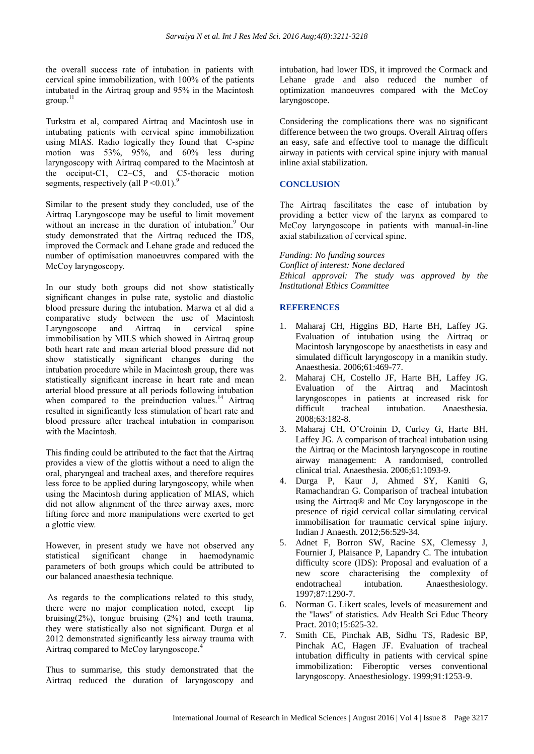the overall success rate of intubation in patients with cervical spine immobilization, with 100% of the patients intubated in the Airtraq group and 95% in the Macintosh  $\text{group}$ .

Turkstra et al, compared Airtraq and Macintosh use in intubating patients with cervical spine immobilization using MIAS. Radio logically they found that C-spine motion was 53%, 95%, and 60% less during laryngoscopy with Airtraq compared to the Macintosh at the occiput-C1, C2–C5, and C5-thoracic motion segments, respectively (all  $P \le 0.01$ ).<sup>9</sup>

Similar to the present study they concluded, use of the Airtraq Laryngoscope may be useful to limit movement without an increase in the duration of intubation. <sup>9</sup> Our study demonstrated that the Airtraq reduced the IDS, improved the Cormack and Lehane grade and reduced the number of optimisation manoeuvres compared with the McCoy laryngoscopy.

In our study both groups did not show statistically significant changes in pulse rate, systolic and diastolic blood pressure during the intubation. Marwa et al did a comparative study between the use of Macintosh Laryngoscope and Airtraq in cervical spine immobilisation by MILS which showed in Airtraq group both heart rate and mean arterial blood pressure did not show statistically significant changes during the intubation procedure while in Macintosh group, there was statistically significant increase in heart rate and mean arterial blood pressure at all periods following intubation when compared to the preinduction values. $^{14}$  Airtraq resulted in significantly less stimulation of heart rate and blood pressure after tracheal intubation in comparison with the Macintosh.

This finding could be attributed to the fact that the Airtraq provides a view of the glottis without a need to align the oral, pharyngeal and tracheal axes, and therefore requires less force to be applied during laryngoscopy, while when using the Macintosh during application of MIAS, which did not allow alignment of the three airway axes, more lifting force and more manipulations were exerted to get a glottic view.

However, in present study we have not observed any statistical significant change in haemodynamic parameters of both groups which could be attributed to our balanced anaesthesia technique.

As regards to the complications related to this study, there were no major complication noted, except lip bruising( $2\%$ ), tongue bruising ( $2\%$ ) and teeth trauma, they were statistically also not significant. Durga et al 2012 demonstrated significantly less airway trauma with Airtraq compared to McCoy laryngoscope.<sup>4</sup>

Thus to summarise, this study demonstrated that the Airtraq reduced the duration of laryngoscopy and intubation, had lower IDS, it improved the Cormack and Lehane grade and also reduced the number of optimization manoeuvres compared with the McCoy laryngoscope.

Considering the complications there was no significant difference between the two groups. Overall Airtraq offers an easy, safe and effective tool to manage the difficult airway in patients with cervical spine injury with manual inline axial stabilization.

# **CONCLUSION**

The Airtraq fascilitates the ease of intubation by providing a better view of the larynx as compared to McCoy laryngoscope in patients with manual-in-line axial stabilization of cervical spine.

*Funding: No funding sources Conflict of interest: None declared Ethical approval: The study was approved by the Institutional Ethics Committee*

# **REFERENCES**

- 1. Maharaj CH, Higgins BD, Harte BH, Laffey JG. Evaluation of intubation using the Airtraq or Macintosh laryngoscope by anaesthetists in easy and simulated difficult laryngoscopy in a manikin study. Anaesthesia. 2006;61:469-77.
- 2. Maharaj CH, Costello JF, Harte BH, Laffey JG. Evaluation of the Airtraq and Macintosh laryngoscopes in patients at increased risk for difficult tracheal intubation. Anaesthesia. 2008;63:182-8.
- 3. Maharaj CH, O'Croinin D, Curley G, Harte BH, Laffey JG. A comparison of tracheal intubation using the Airtraq or the Macintosh laryngoscope in routine airway management: A randomised, controlled clinical trial. Anaesthesia. 2006;61:1093-9.
- 4. Durga P, Kaur J, Ahmed SY, Kaniti G, Ramachandran G. Comparison of tracheal intubation using the Airtraq® and Mc Coy laryngoscope in the presence of rigid cervical collar simulating cervical immobilisation for traumatic cervical spine injury. Indian J Anaesth. 2012;56:529-34.
- 5. Adnet F, Borron SW, Racine SX, Clemessy J, Fournier J, Plaisance P, Lapandry C. The intubation difficulty score (IDS): Proposal and evaluation of a new score characterising the complexity of endotracheal intubation. Anaesthesiology. 1997;87:1290-7.
- 6. Norman G. Likert scales, levels of measurement and the "laws" of statistics. Adv Health Sci Educ Theory Pract. 2010;15:625-32.
- 7. Smith CE, Pinchak AB, Sidhu TS, Radesic BP, Pinchak AC, Hagen JF. Evaluation of tracheal intubation difficulty in patients with cervical spine immobilization: Fiberoptic verses conventional laryngoscopy. Anaesthesiology. 1999;91:1253-9.